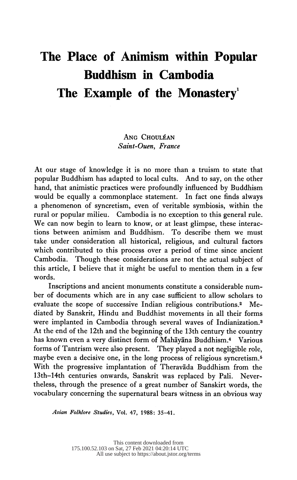# The Place of Animism within Popular Buddhism in Cambodia The Example of the Monastery<sup>1</sup>

ANG CHOULÉAN Saint-Ouen, France

 At our stage of knowledge it is no more than a truism to state that popular Buddhism has adapted to local cults. And to say, on the other hand, that animistic practices were profoundly influenced by Buddhism would be equally a commonplace statement. In fact one finds always a phenomenon of syncretism, even of veritable symbiosis, within the rural or popular milieu. Cambodia is no exception to this general rule. We can now begin to learn to know, or at least glimpse, these interac tions between animism and Buddhism. To describe them we must take under consideration all historical, religious, and cultural factors which contributed to this process over a period of time since ancient Cambodia. Though these considerations are not the actual subject of this article, I believe that it might be useful to mention them in a few words.

 Inscriptions and ancient monuments constitute a considerable num ber of documents which are in any case sufficient to allow scholars to evaluate the scope of successive Indian religious contributions.<sup>2</sup> Meevaluate the scope of successive Indian religious contributions.<sup>2</sup> diated by Sanskrit, Hindu and Buddhist movements in all their forms were implanted in Cambodia through several waves of Indianization.3 At the end of the 12th and the beginning of the 13th century the country has known even a very distinct form of Mahāyāna Buddhism.<sup>4</sup> Various forms of Tantrism were also present. They played a not negligible role, maybe even a decisive one, in the long process of religious syncretism.5 With the progressive implantation of Theravada Buddhism from the 13th-14th centuries onwards, Sanskrit was replaced by Pali. Never theless, through the presence of a great number of Sanskirt words, the vocabulary concerning the supernatural bears witness in an obvious way

Asian Folklore Studies, Vol. 47, 1988: 35-41.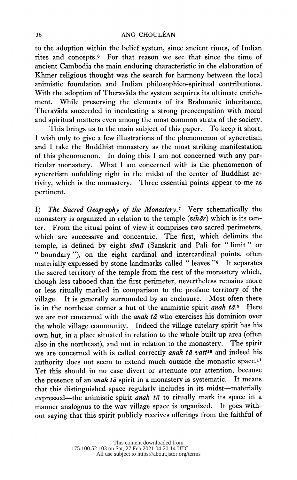## ANG CHOULEAN

 to the adoption within the belief system, since ancient times, of Indian rites and concepts.6 For that reason we see that since the time of ancient Cambodia the main enduring characteristic in the elaboration of Khmer religious thought was the search for harmony between the local animistic foundation and Indian philosophico-spiritual contributions. With the adoption of Theravada the system acquires its ultimate enrich ment. While preserving the elements of its Brahmanic inheritance, Theravada succeeded in inculcating a strong preoccupation with moral and spiritual matters even among the most common strata of the society.

 This brings us to the main subject of this paper. To keep it short, I wish only to give a few illustrations of the phenomenon of syncretism and I take the Buddhist monastery as the most striking manifestation of this phenomenon. In doing this I am not concerned with any par ticular monastery. What I am concerned with is the phenomenon of syncretism unfolding right in the midst of the center of Buddhist ac tivity, which is the monastery. Three essential points appear to me as pertinent.

I) The Sacred Geography of the Monastery.<sup>7</sup> Very schematically the monastery is organized in relation to the temple  $(vih\bar{a}r)$  which is its center. From the ritual point of view it comprises two sacred perimeters, From the ritual point of view it comprises two sacred perimeters, which are successive and concentric. The first, which delimits the temple, is defined by eight sima (Sanskrit and Pali for "limit" or " boundary "), on the eight cardinal and intercardinal points, often materially expressed by stone landmarks called "leaves."<sup>8</sup> It separates the sacred territory of the temple from the rest of the monastery which, though less tabooed than the first perimeter, nevertheless remains more or less ritually marked in comparison to the profane territory of the village. It is generally surrounded by an enclosure. Most often there is in the northeast corner a hut of the animistic spirit *anak tā*.<sup>9</sup> Here we are not concerned with the *anak tā* who exercises his dominion over the whole village community. Indeed the village tutelary spirit has his own hut, in a place situated in relation to the whole built up area (often also in the northeast), and not in relation to the monastery. The spirit we are concerned with is called correctly *anak tā vatt*<sup>10</sup> and indeed his authority does not seem to extend much outside the monastic space.<sup>11</sup> Yet this should in no case divert or attenuate our attention, because the presence of an *anak tā* spirit in a monastery is systematic. It means that this distinguished space regularly includes in its midst-materially expressed-the animistic spirit *anak tā* to ritually mark its space in a manner analogous to the way village space is organized. It goes with out saying that this spirit publicly receives offerings from the faithful of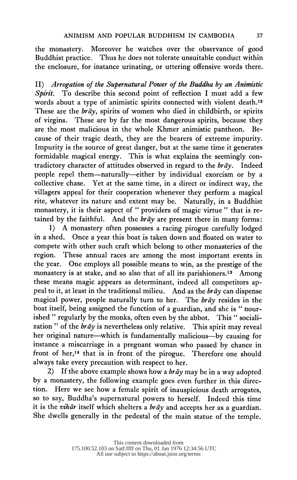the monastery. Moreover he watches over the observance of good Buddhist practice. Thus he does not tolerate unsuitable conduct within the enclosure, for instance urinating, or uttering offensive words there.

 II) Arrogation of the Supernatural Power of the Buddha by an Animistic Spirit. To describe this second point of reflection I must add a few words about a type of animistic spirits connected with violent death.12 These are the  $\frac{br\bar{a}\gamma}{\gamma}$ , spirits of women who died in childbirth, or spirits of virgins. These are by far the most dangerous spirits, because they are the most malicious in the whole Khmer animistic pantheon. Be cause of their tragic death, they are the bearers of extreme impurity. Impurity is the source of great danger, but at the same time it generates formidable magical energy. This is what explains the seemingly con tradictory character of attitudes observed in regard to the  $br\bar{a}y$ . Indeed people repel them-naturally-either by individual exorcism or by a collective chase. Yet at the same time, in a direct or indirect way, the villagers appeal for their cooperation whenever they perform a magical rite, whatever its nature and extent may be. Naturally, in a Buddhist monastery, it is their aspect of " providers of magic virtue " that is re tained by the faithful. And the  $\frac{b\pi}{y}$  are present there in many forms:

 1) A monastery often possesses a racing pirogue carefully lodged in a shed. Once a year this boat is taken down and floated on water to compete with other such craft which belong to other monasteries of the region. These annual races are among the most important events in the year. One employs all possible means to win, as the prestige of the monastery is at stake, and so also that of all its parishioners.<sup>13</sup> Among these means magic appears as determinant, indeed all competitors ap peal to it, at least in the traditional milieu. And as the  $br\bar{a}y$  can dispense magical power, people naturally turn to her. The  $b r \bar{a} \gamma$  resides in the boat itself, being assigned the function of a guardian, and she is " nour ished " regularly by the monks, often even by the abbot. This " socialization " of the  $\frac{b}{q}$  is nevertheless only relative. This spirit may reveal her original nature-which is fundamentally malicious-by causing for instance a miscarriage in a pregnant woman who passed by chance in front of her,14 that is in front of the pirogue. Therefore one should always take every precaution with respect to her.

2) If the above example shows how a  $\frac{dr}{dy}$  may be in a way adopted by a monastery, the following example goes even further in this direc tion. Here we see how a female spirit of inauspicious death arrogates, so to say, Buddha's supernatural powers to herself. Indeed this time it is the vihar itself which shelters a bray and accepts her as a guardian. She dwells generally in the pedestal of the main statue of the temple.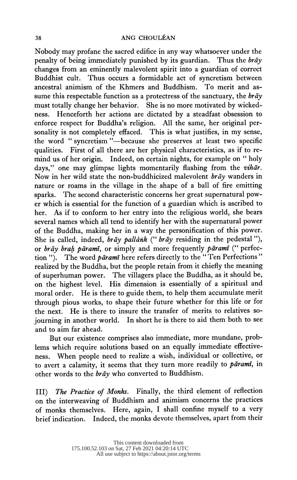# ANG CHOULEAN

 Nobody may profane the sacred edifice in any way whatsoever under the penalty of being immediately punished by its guardian. Thus the  $\frac{b \cdot \bar{a}}{y}$  changes from an eminently malevolent spirit into a guardian of correct Buddhist cult. Thus occurs a formidable act of syncretism between ancestral animism of the Khmers and Buddhism. To merit and as sume this respectable function as a protectress of the sanctuary, the  $b r \bar{a} y$  must totally change her behavior. She is no more motivated by wicked ness. Henceforth her actions are dictated by a steadfast obsession to enforce respect for Buddha's religion. All the same, her original per sonality is not completely effaced. This is what justifies, in my sense, the word "syncretism "-because she preserves at least two specific qualities. First of all there are her physical characteristics, as if to re mind us of her origin. Indeed, on certain nights, for example on " holy days," one may glimpse lights momentarily flashing from the vihar. Now in her wild state the non-buddhicized malevolent  $\frac{dr}{dr}$  wanders in nature or roams in the village in the shape of a ball of fire emitting sparks. The second characteristic concerns her great supernatural pow er which is essential for the function of a guardian which is ascribed to her. As if to conform to her entry into the religious world, she bears As if to conform to her entry into the religious world, she bears several names which all tend to identify her with the supernatural power of the Buddha, making her in a way the personification of this power. She is called, indeed, *brāy pallank* ("*brāy* residing in the pedestal"), or *brāy brah pāramī*, or simply and more frequently *pāramī* (" perfection "). The word parami here refers directly to the "Ten Perfections" realized by the Buddha, but the people retain from it chiefly the meaning of superhuman power. The villagers place the Buddha, as it should be, on the highest level. His dimension is essentially of a spiritual and moral order. He is there to guide them, to help them accumulate merit through pious works, to shape their future whether for this life or for the next. He is there to insure the transfer of merits to relatives so journing in another world. In short he is there to aid them both to see and to aim far ahead.

 But our existence comprises also immediate, more mundane, prob lems which require solutions based on an equally immediate effective ness. When people need to realize a wish, individual or collective, or to avert a calamity, it seems that they turn more readily to  $p\bar{a}$ rami, in other words to the  $\frac{br\bar{a}y}{y}$  who converted to Buddhism.

 III) The Practice of Monks. Finally, the third element of reflection on the interweaving of Buddhism and animism concerns the practices of monks themselves. Here, again, I shall confine myself to a very brief indication. Indeed, the monks devote themselves, apart from their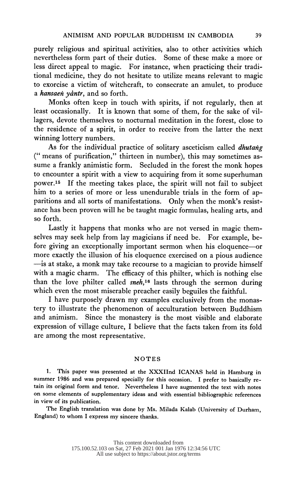purely religious and spiritual activities, also to other activities which nevertheless form part of their duties. Some of these make a more or less direct appeal to magic. For instance, when practicing their tradi tional medicine, they do not hesitate to utilize means relevant to magic to exorcise a victim of witchcraft, to consecrate an amulet, to produce a kansaen yantr, and so forth.

 Monks often keep in touch with spirits, if not regularly, then at least occasionally. It is known that some of them, for the sake of vil lagers, devote themselves to nocturnal meditation in the forest, close to the residence of a spirit, in order to receive from the latter the next winning lottery numbers.

As for the individual practice of solitary asceticism called *dhutang*  (" means of purification," thirteen in number), this may sometimes as sume a frankly animistic form. Secluded in the forest the monk hopes to encounter a spirit with a view to acquiring from it some superhuman power.15 If the meeting takes place, the spirit will not fail to subject him to a series of more or less unendurable trials in the form of ap paritions and all sorts of manifestations. Only when the monk's resist ance has been proven will he be taught magic formulas, healing arts, and so forth.

 Lastly it happens that monks who are not versed in magic them selves may seek help from lay magicians if need be. For example, be fore giving an exceptionally important sermon when his eloquence-or more exactly the illusion of his eloquence exercised on a pious audience -is at stake, a monk may take recourse to a magician to provide himself with a magic charm. The efficacy of this philter, which is nothing else than the love philter called  $\mathsf{sneh}$ ,<sup>16</sup> lasts through the sermon during which even the most miserable preacher easily beguiles the faithful.

 I have purposely drawn my examples exclusively from the monas tery to illustrate the phenomenon of acculturation between Buddhism and animism. Since the monastery is the most visible and elaborate expression of village culture, I believe that the facts taken from its fold are among the most representative.

# NOTES

 1. This paper was presented at the XXXIInd ICANAS held in Hamburg in summer 1986 and was prepared specially for this occasion. I prefer to basically re tain its original form and tenor. Nevertheless I have augmented the text with notes on some elements of supplementary ideas and with essential bibliographic references in view of its publication.

 The English translation was done by Ms. Milada Kalab (University of Durham, England) to whom I express my sincere thanks.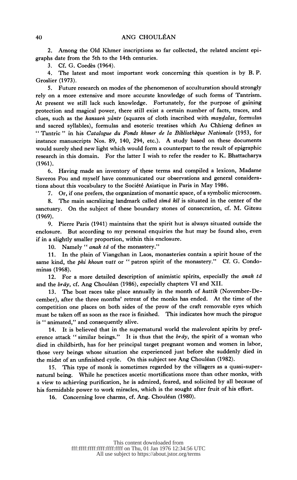2. Among the Old Khmer inscriptions so far collected, the related ancient epi graphs date from the 5th to the 14th centuries.

3. Cf. G. Coedès (1964).<br>4. The latest and most

The latest and most important work concerning this question is by B.P. Groslier (1973).

 5. Future research on modes of the phenomenon of acculturation should strongly rely on a more extensive and more accurate knowledge of such forms of Tantrism. At present we still lack such knowledge. Fortunately, for the purpose of gaining protection and magical power, there still exist a certain number of facts, traces, and clues, such as the kansaen yantr (squares of cloth inscribed with mandalas, formulas and sacred syllables), formulas and esoteric treatises which Au Chhieng defines as "Tantric" in his Catalogue du Fonds khmer de la Bibliothèque Nationale (1953, for instance manuscripts Nos. 89, 140, 294, etc.). A study based on these documents would surely shed new light which would form a counterpart to the result of epigraphic research in this domain. For the latter I wish to refer the reader to K. Bhattacharya (1961).

 6. Having made an inventory of these terms and compiled a lexicon, Madame Saveros Pou and myself have communicated our observations and general considera tions about this vocabulary to the Soci6te Asiatique in Paris in May 1986.

7. Or, if one prefers, the organization of monastic space, of a symbolic microcosm.

8. The main sacralizing landmark called  $\sin \tilde{a}$  kil is situated in the center of the sanctuary. On the subject of these boundary stones of consecration, cf. M. Giteau (1969).

 9. Pierre Paris (1941) maintains that the spirit hut is always situated outside the enclosure. But according to my personal enquiries the hut may be found also, even if in a slightly smaller proportion, within this enclosure.

10. Namely " anak tā of the monastery."

 11. In the plain of Viangchan in Laos, monasteries contain a spirit house of the same kind, the phi khoun vatt or " patron spirit of the monastery." Cf. G. Condominas (1968).

12. For a more detailed description of animistic spirits, especially the anak  $t\bar{a}$ and the bray, cf. Ang Chouléan (1986), especially chapters VI and XII.

13. The boat races take place annually in the month of kattik (November-De cember), after the three months' retreat of the monks has ended. At the time of the competition one places on both sides of the prow of the craft removable eyes which must be taken off as soon as the race is finished. This indicates how much the pirogue is " animated," and consequently alive.

 14. It is believed that in the supernatural world the malevolent spirits by pref erence attack " similar beings." It is thus that the  $br\tilde{a}y$ , the spirit of a woman who died in childbirth, has for her principal target pregnant women and women in labor, those very beings whose situation she experienced just before she suddenly died in the midst of an unfinished cycle. On this subject see Ang Chouléan (1982).

 15. This type of monk is sometimes regarded by the villagers as a quasi-super natural being. While he practices ascetic mortifications more than other monks, with a view to achieving purification, he is admired, feared, and solicited by all because of his formidable power to work miracles, which is the sought after fruit of his effort.

16. Concerning love charms, cf. Ang. Chouléan (1980).